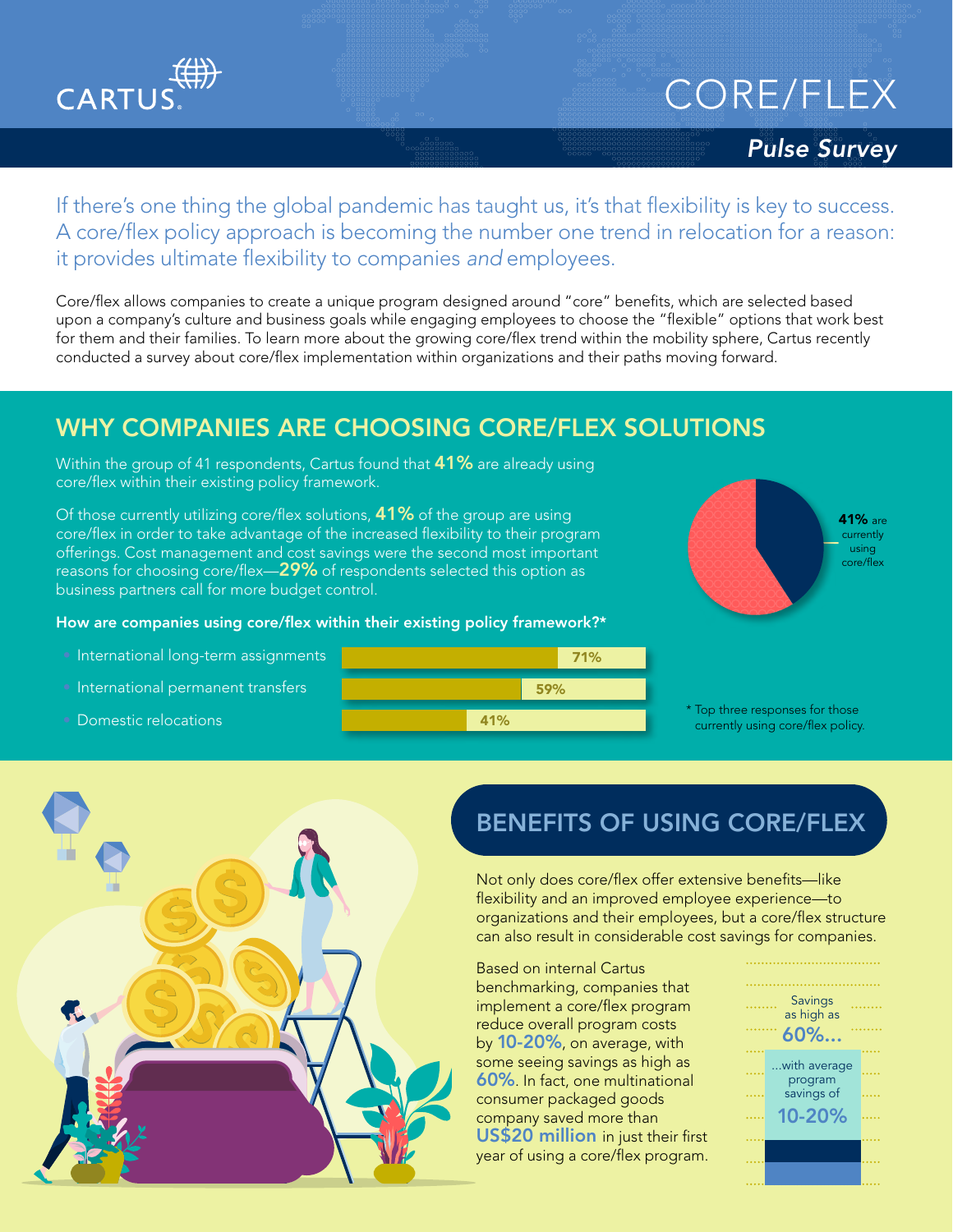

# CORE/FLEX

#### *Pulse Survey*

If there's one thing the global pandemic has taught us, it's that flexibility is key to success. A core/flex policy approach is becoming the number one trend in relocation for a reason: it provides ultimate flexibility to companies *and* employees.

Core/flex allows companies to create a unique program designed around "core" benefits, which are selected based upon a company's culture and business goals while engaging employees to choose the "flexible" options that work best for them and their families. To learn more about the growing core/flex trend within the mobility sphere, Cartus recently conducted a survey about core/flex implementation within organizations and their paths moving forward.

### WHY COMPANIES ARE CHOOSING CORE/FLEX SOLUTIONS

Within the group of 41 respondents, Cartus found that **41%** are already using core/flex within their existing policy framework.

Of those currently utilizing core/flex solutions, 41% of the group are using core/flex in order to take advantage of the increased flexibility to their program offerings. Cost management and cost savings were the second most important reasons for choosing core/flex—29% of respondents selected this option as business partners call for more budget control.

#### How are companies using core/flex within their existing policy framework?\*

- International long-term assignments
- International permanent transfers
- Domestic relocations





\* Top three responses for those currently using core/flex policy.



# BENEFITS OF USING CORE/FLEX

Not only does core/flex offer extensive benefits—like flexibility and an improved employee experience—to organizations and their employees, but a core/flex structure can also result in considerable cost savings for companies.

Based on internal Cartus benchmarking, companies that implement a core/flex program reduce overall program costs by 10-20%, on average, with some seeing savings as high as 60%. In fact, one multinational consumer packaged goods company saved more than US\$20 million in just their first year of using a core/flex program.

| Savings<br>as high as |                         |  |
|-----------------------|-------------------------|--|
| $60\%$                |                         |  |
|                       | with average<br>program |  |
|                       | savings of              |  |
|                       | 10-20%                  |  |
|                       |                         |  |
|                       |                         |  |